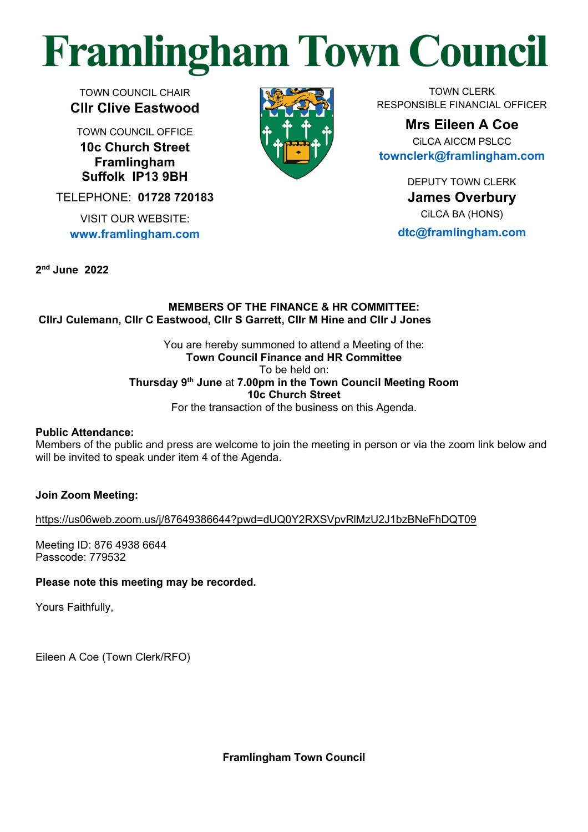# **Framlingham Town Council**

TOWN COUNCIL CHAIR **Cllr Clive Eastwood**

TOWN COUNCIL OFFICE **10c Church Street Framlingham Suffolk IP13 9BH**

TELEPHONE: **01728 720183**

VISIT OUR WEBSITE: **[www.framlingham.com](http://www.framlingham.com/)**

**2 nd June 2022**



TOWN CLERK RESPONSIBLE FINANCIAL OFFICER

**Mrs Eileen A Coe** CiLCA AICCM PSLCC **[townclerk@framlingham.com](mailto:townclerk@framlingham.com)**

> DEPUTY TOWN CLERK **James Overbury** CiLCA BA (HONS)

**[dtc@framlingham.com](mailto:dtc@framlingham.com)**

# **MEMBERS OF THE FINANCE & HR COMMITTEE: CllrJ Culemann, Cllr C Eastwood, Cllr S Garrett, Cllr M Hine and Cllr J Jones**

You are hereby summoned to attend a Meeting of the: **Town Council Finance and HR Committee** To be held on: **Thursday 9 th June** at **7.00pm in the Town Council Meeting Room 10c Church Street** For the transaction of the business on this Agenda.

# **Public Attendance:**

Members of the public and press are welcome to join the meeting in person or via the zoom link below and will be invited to speak under item 4 of the Agenda.

# **Join Zoom Meeting:**

[https://us06web.zoom.us/j/87649386644?pwd=dUQ0Y2RXSVpvRlMzU2J1bzBNeFhDQT09](FHR-Agenda-Finance-2022-06-09.docx)

Meeting ID: 876 4938 6644 Passcode: 779532

# **Please note this meeting may be recorded.**

Yours Faithfully,

Eileen A Coe (Town Clerk/RFO)

**Framlingham Town Council**